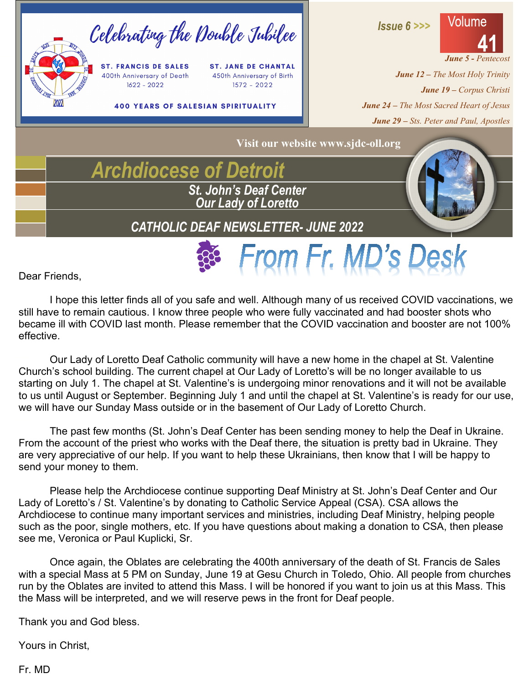

Dear Friends,

I hope this letter finds all of you safe and well. Although many of us received COVID vaccinations, we still have to remain cautious. I know three people who were fully vaccinated and had booster shots who became ill with COVID last month. Please remember that the COVID vaccination and booster are not 100% effective.

Our Lady of Loretto Deaf Catholic community will have a new home in the chapel at St. Valentine Church's school building. The current chapel at Our Lady of Loretto's will be no longer available to us starting on July 1. The chapel at St. Valentine's is undergoing minor renovations and it will not be available to us until August or September. Beginning July 1 and until the chapel at St. Valentine's is ready for our use, we will have our Sunday Mass outside or in the basement of Our Lady of Loretto Church.

The past few months (St. John's Deaf Center has been sending money to help the Deaf in Ukraine. From the account of the priest who works with the Deaf there, the situation is pretty bad in Ukraine. They are very appreciative of our help. If you want to help these Ukrainians, then know that I will be happy to send your money to them.

Please help the Archdiocese continue supporting Deaf Ministry at St. John's Deaf Center and Our Lady of Loretto's / St. Valentine's by donating to Catholic Service Appeal (CSA). CSA allows the Archdiocese to continue many important services and ministries, including Deaf Ministry, helping people such as the poor, single mothers, etc. If you have questions about making a donation to CSA, then please see me, Veronica or Paul Kuplicki, Sr.

Once again, the Oblates are celebrating the 400th anniversary of the death of St. Francis de Sales with a special Mass at 5 PM on Sunday, June 19 at Gesu Church in Toledo, Ohio. All people from churches run by the Oblates are invited to attend this Mass. I will be honored if you want to join us at this Mass. This the Mass will be interpreted, and we will reserve pews in the front for Deaf people.

Thank you and God bless.

Yours in Christ,

Fr. MD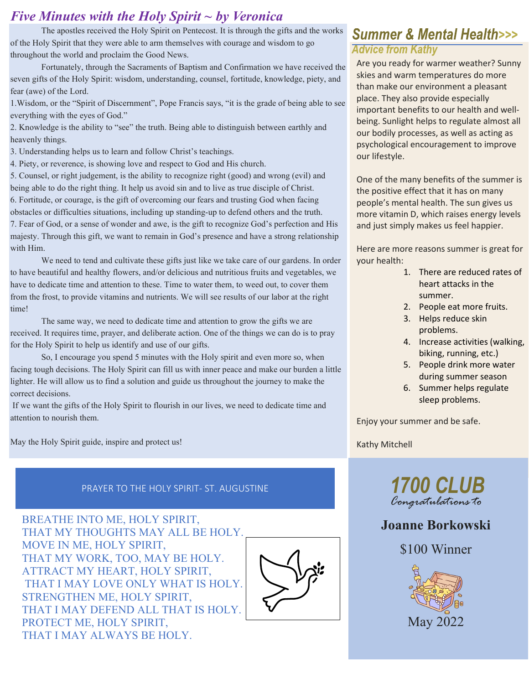### *Five Minutes with the Holy Spirit ~ by Veronica*

The apostles received the Holy Spirit on Pentecost. It is through the gifts and the works of the Holy Spirit that they were able to arm themselves with courage and wisdom to go throughout the world and proclaim the Good News.

Fortunately, through the Sacraments of Baptism and Confirmation we have received the seven gifts of the Holy Spirit: wisdom, understanding, counsel, fortitude, knowledge, piety, and fear (awe) of the Lord.

1.Wisdom, or the "Spirit of Discernment", Pope Francis says, "it is the grade of being able to see everything with the eyes of God."

2. Knowledge is the ability to "see" the truth. Being able to distinguish between earthly and heavenly things.

3. Understanding helps us to learn and follow Christ's teachings.

4. Piety, or reverence, is showing love and respect to God and His church.

5. Counsel, or right judgement, is the ability to recognize right (good) and wrong (evil) and being able to do the right thing. It help us avoid sin and to live as true disciple of Christ. 6. Fortitude, or courage, is the gift of overcoming our fears and trusting God when facing obstacles or difficulties situations, including up standing-up to defend others and the truth. 7. Fear of God, or a sense of wonder and awe, is the gift to recognize God's perfection and His majesty. Through this gift, we want to remain in God's presence and have a strong relationship with Him.

We need to tend and cultivate these gifts just like we take care of our gardens. In order to have beautiful and healthy flowers, and/or delicious and nutritious fruits and vegetables, we have to dedicate time and attention to these. Time to water them, to weed out, to cover them from the frost, to provide vitamins and nutrients. We will see results of our labor at the right time!

The same way, we need to dedicate time and attention to grow the gifts we are received. It requires time, prayer, and deliberate action. One of the things we can do is to pray for the Holy Spirit to help us identify and use of our gifts.

So, I encourage you spend 5 minutes with the Holy spirit and even more so, when facing tough decisions. The Holy Spirit can fill us with inner peace and make our burden a little lighter. He will allow us to find a solution and guide us throughout the journey to make the correct decisions.

If we want the gifts of the Holy Spirit to flourish in our lives, we need to dedicate time and attention to nourish them.

May the Holy Spirit guide, inspire and protect us!

### PRAYER TO THE HOLY SPIRIT- ST. AUGUSTINE **1700 CLUB**

BREATHE INTO ME, HOLY SPIRIT, THAT MY THOUGHTS MAY ALL BE HOLY. MOVE IN ME, HOLY SPIRIT, THAT MY WORK, TOO, MAY BE HOLY. ATTRACT MY HEART, HOLY SPIRIT, THAT I MAY LOVE ONLY WHAT IS HOLY. STRENGTHEN ME, HOLY SPIRIT, THAT I MAY DEFEND ALL THAT IS HOLY. PROTECT ME, HOLY SPIRIT, THAT I MAY ALWAYS BE HOLY.



### **Summer & Mental Health>>> Advice from Kathy**

Are you ready for warmer weather? Sunny skies and warm temperatures do more than make our environment a pleasant place. They also provide especially important benefits to our health and wellbeing. Sunlight helps to regulate almost all our bodily processes, as well as acting as psychological encouragement to improve our lifestyle.

One of the many benefits of the summer is the positive effect that it has on many people's mental health. The sun gives us more vitamin D, which raises energy levels and just simply makes us feel happier.

Here are more reasons summer is great for your health:

- 1. There are reduced rates of heart attacks in the summer.
- 2. People eat more fruits.
- 3. Helps reduce skin problems.
- 4. Increase activities (walking, biking, running, etc.)
- 5. People drink more water during summer season
- 6. Summer helps regulate sleep problems.

Enjoy your summer and be safe.

Kathy Mitchell



### **Joanne Borkowski**

\$100 Winner

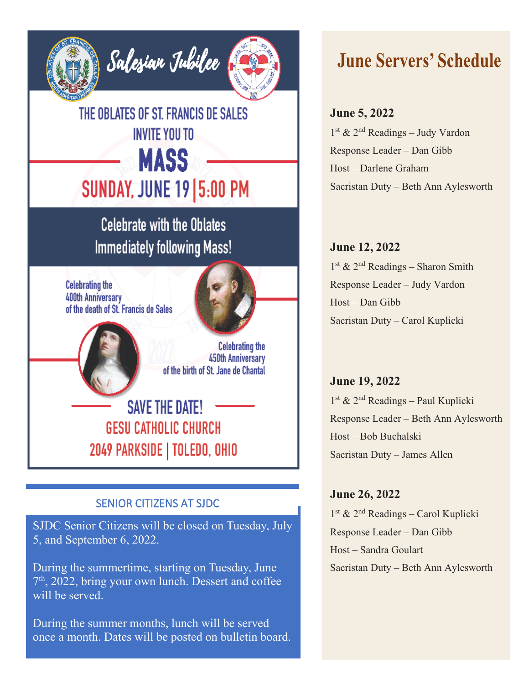

THE OBLATES OF ST. FRANCIS DE SALES **INVITE YOU TO MASS SUNDAY, JUNE 19 5:00 PM** 

**Celebrate with the Oblates Immediately following Mass!** 

**Celebrating the** 400th Anniversary of the death of St. Francis de Sales



**Celebrating the 450th Anniversary** of the birth of St. Jane de Chantal

**SAVE THE DATE! GESU CATHOLIC CHURCH** 2049 PARKSIDE | TOLEDO, OHIO

#### SENIOR CITIZENS AT SJDC

SJDC Senior Citizens will be closed on Tuesday, July 5, and September 6, 2022.

During the summertime, starting on Tuesday, June  $7<sup>th</sup>$ , 2022, bring your own lunch. Dessert and coffee will be served.

During the summer months, lunch will be served once a month. Dates will be posted on bulletin board.

# **June Servers' Schedule**

#### **June 5, 2022**

1st & 2nd Readings – Judy Vardon Response Leader – Dan Gibb Host – Darlene Graham Sacristan Duty – Beth Ann Aylesworth

**June 12, 2022**  $1<sup>st</sup>$  &  $2<sup>nd</sup>$  Readings – Sharon Smith Response Leader – Judy Vardon Host – Dan Gibb Sacristan Duty – Carol Kuplicki

**June 19, 2022** 1st & 2nd Readings – Paul Kuplicki Response Leader – Beth Ann Aylesworth Host – Bob Buchalski Sacristan Duty – James Allen

**June 26, 2022**

1st & 2nd Readings – Carol Kuplicki Response Leader – Dan Gibb Host – Sandra Goulart Sacristan Duty – Beth Ann Aylesworth